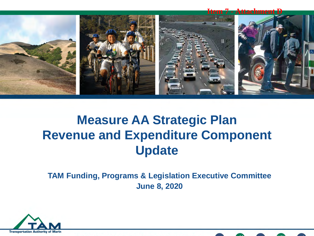

### **Measure AA Strategic Plan Revenue and Expenditure Component Update**

**TAM Funding, Programs & Legislation Executive Committee June 8, 2020**



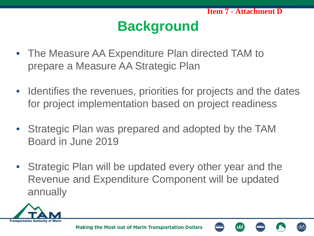# **Background**

- The Measure AA Expenditure Plan directed TAM to prepare a Measure AA Strategic Plan
- Identifies the revenues, priorities for projects and the dates for project implementation based on project readiness
- Strategic Plan was prepared and adopted by the TAM Board in June 2019
- Strategic Plan will be updated every other year and the Revenue and Expenditure Component will be updated annually



Making the Most out of Marin Transportation Dollars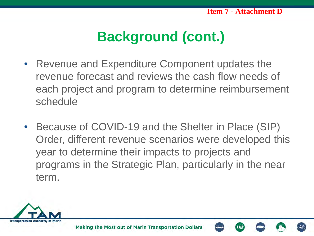# **Background (cont.)**

- Revenue and Expenditure Component updates the revenue forecast and reviews the cash flow needs of each project and program to determine reimbursement schedule
- Because of COVID-19 and the Shelter in Place (SIP) Order, different revenue scenarios were developed this year to determine their impacts to projects and programs in the Strategic Plan, particularly in the near term.

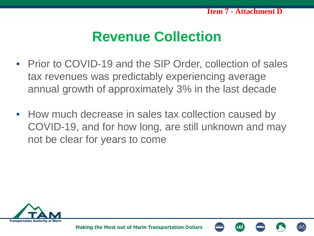### **Revenue Collection**

- Prior to COVID-19 and the SIP Order, collection of sales tax revenues was predictably experiencing average annual growth of approximately 3% in the last decade
- How much decrease in sales tax collection caused by COVID-19, and for how long, are still unknown and may not be clear for years to come



Making the Most out of Marin Transportation Dollars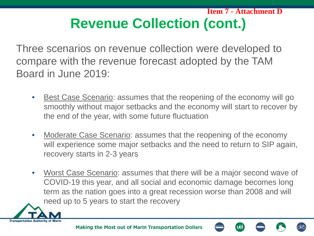### **Revenue Collection (cont.) Item 7 - Attachment D**

Three scenarios on revenue collection were developed to compare with the revenue forecast adopted by the TAM Board in June 2019:

- Best Case Scenario: assumes that the reopening of the economy will go smoothly without major setbacks and the economy will start to recover by the end of the year, with some future fluctuation
- Moderate Case Scenario: assumes that the reopening of the economy will experience some major setbacks and the need to return to SIP again, recovery starts in 2-3 years
- Worst Case Scenario: assumes that there will be a major second wave of COVID-19 this year, and all social and economic damage becomes long term as the nation goes into a great recession worse than 2008 and will need up to 5 years to start the recovery

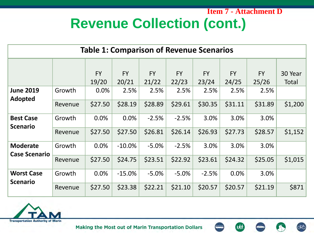#### **Revenue Collection (cont.) Item 7 - Attachment D**

| <b>Table 1: Comparison of Revenue Scenarios</b> |         |                    |                    |                    |                    |                    |                    |                    |                  |
|-------------------------------------------------|---------|--------------------|--------------------|--------------------|--------------------|--------------------|--------------------|--------------------|------------------|
|                                                 |         | <b>FY</b><br>19/20 | <b>FY</b><br>20/21 | <b>FY</b><br>21/22 | <b>FY</b><br>22/23 | <b>FY</b><br>23/24 | <b>FY</b><br>24/25 | <b>FY</b><br>25/26 | 30 Year<br>Total |
| <b>June 2019</b><br><b>Adopted</b>              | Growth  | 0.0%               | 2.5%               | 2.5%               | 2.5%               | 2.5%               | 2.5%               | 2.5%               |                  |
|                                                 | Revenue | \$27.50            | \$28.19            | \$28.89            | \$29.61            | \$30.35            | \$31.11            | \$31.89            | \$1,200          |
| <b>Best Case</b><br><b>Scenario</b>             | Growth  | 0.0%               | 0.0%               | $-2.5%$            | $-2.5%$            | 3.0%               | 3.0%               | 3.0%               |                  |
|                                                 | Revenue | \$27.50            | \$27.50            | \$26.81            | \$26.14            | \$26.93            | \$27.73            | \$28.57            | \$1,152          |
| <b>Moderate</b><br><b>Case Scenario</b>         | Growth  | 0.0%               | $-10.0\%$          | $-5.0%$            | $-2.5%$            | 3.0%               | 3.0%               | 3.0%               |                  |
|                                                 | Revenue | \$27.50            | \$24.75            | \$23.51            | \$22.92            | \$23.61            | \$24.32            | \$25.05            | \$1,015          |
| <b>Worst Case</b><br><b>Scenario</b>            | Growth  | 0.0%               | $-15.0%$           | $-5.0%$            | $-5.0%$            | $-2.5%$            | 0.0%               | 3.0%               |                  |
|                                                 | Revenue | \$27.50            | \$23.38            | \$22.21            | \$21.10            | \$20.57            | \$20.57            | \$21.19            | \$871            |



ශ්ර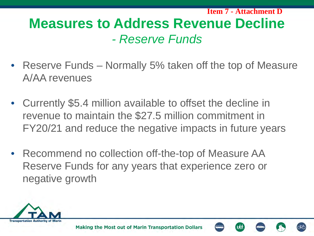### **Measures to Address Revenue Decline** *- Reserve Funds* **Item 7 - Attachment D**

- Reserve Funds Normally 5% taken off the top of Measure A/AA revenues
- Currently \$5.4 million available to offset the decline in revenue to maintain the \$27.5 million commitment in FY20/21 and reduce the negative impacts in future years
- Recommend no collection off-the-top of Measure AA Reserve Funds for any years that experience zero or negative growth

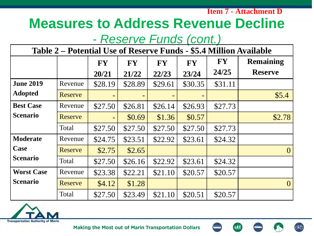**Item 7 - Attachment D**

### **Measures to Address Revenue Decline**

### *- Reserve Funds (cont.)*

| Table 2 – Potential Use of Reserve Funds - \$5.4 Million Available |                |           |           |           |           |           |                  |  |
|--------------------------------------------------------------------|----------------|-----------|-----------|-----------|-----------|-----------|------------------|--|
|                                                                    |                | <b>FY</b> | <b>FY</b> | <b>FY</b> | <b>FY</b> | <b>FY</b> | <b>Remaining</b> |  |
|                                                                    |                | 20/21     | 21/22     | 22/23     | 23/24     | 24/25     | <b>Reserve</b>   |  |
| <b>June 2019</b>                                                   | Revenue        | \$28.19   | \$28.89   | \$29.61   | \$30.35   | \$31.11   |                  |  |
| <b>Adopted</b>                                                     | Reserve        |           |           |           |           |           | \$5.4            |  |
| <b>Best Case</b>                                                   | Revenue        | \$27.50   | \$26.81   | \$26.14   | \$26.93   | \$27.73   |                  |  |
| <b>Scenario</b>                                                    | Reserve        |           | \$0.69    | \$1.36    | \$0.57    |           | \$2.78           |  |
|                                                                    | Total          | \$27.50   | \$27.50   | \$27.50   | \$27.50   | \$27.73   |                  |  |
| <b>Moderate</b>                                                    | Revenue        | \$24.75   | \$23.51   | \$22.92   | \$23.61   | \$24.32   |                  |  |
| Case                                                               | Reserve        | \$2.75    | \$2.65    |           |           |           | $\theta$         |  |
| <b>Scenario</b>                                                    | Total          | \$27.50   | \$26.16   | \$22.92   | \$23.61   | \$24.32   |                  |  |
| <b>Worst Case</b>                                                  | Revenue        | \$23.38   | \$22.21   | \$21.10   | \$20.57   | \$20.57   |                  |  |
| <b>Scenario</b>                                                    | <b>Reserve</b> | \$4.12    | \$1.28    |           |           |           | $\theta$         |  |
|                                                                    | Total          | \$27.50   | \$23.49   | \$21.10   | \$20.51   | \$20.57   |                  |  |

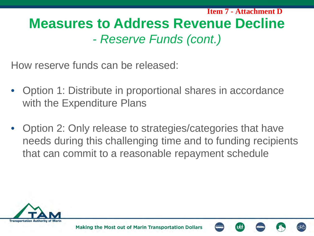**Measures to Address Revenue Decline**  *- Reserve Funds (cont.)* **Item 7 - Attachment D**

How reserve funds can be released:

- Option 1: Distribute in proportional shares in accordance with the Expenditure Plans
- Option 2: Only release to strategies/categories that have needs during this challenging time and to funding recipients that can commit to a reasonable repayment schedule

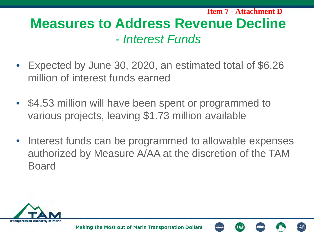**Measures to Address Revenue Decline**  *- Interest Funds* **Item 7 - Attachment D**

- Expected by June 30, 2020, an estimated total of \$6.26 million of interest funds earned
- \$4.53 million will have been spent or programmed to various projects, leaving \$1.73 million available
- Interest funds can be programmed to allowable expenses authorized by Measure A/AA at the discretion of the TAM Board

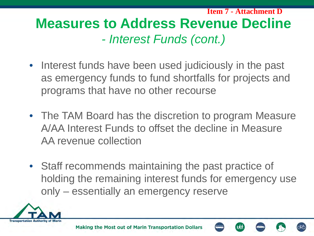**Measures to Address Revenue Decline** *- Interest Funds (cont.)* **Item 7 - Attachment D**

- Interest funds have been used judiciously in the past as emergency funds to fund shortfalls for projects and programs that have no other recourse
- The TAM Board has the discretion to program Measure A/AA Interest Funds to offset the decline in Measure AA revenue collection
- Staff recommends maintaining the past practice of holding the remaining interest funds for emergency use only – essentially an emergency reserve

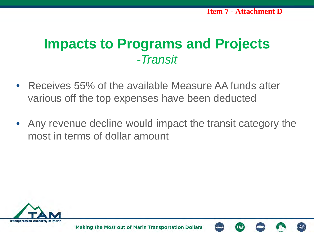### **Impacts to Programs and Projects** *-Transit*

- Receives 55% of the available Measure AA funds after various off the top expenses have been deducted
- Any revenue decline would impact the transit category the most in terms of dollar amount



Making the Most out of Marin Transportation Dollars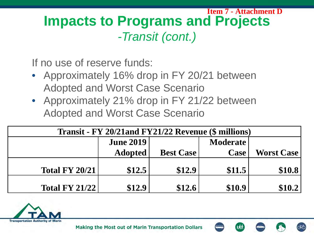#### **Impacts to Programs and Projects** *-Transit (cont.)* **Item 7 - Attachment D**

If no use of reserve funds:

- Approximately 16% drop in FY 20/21 between Adopted and Worst Case Scenario
- Approximately 21% drop in FY 21/22 between Adopted and Worst Case Scenario

| Transit - FY 20/21and FY21/22 Revenue (\$ millions) |                  |                  |                 |                   |  |  |  |  |
|-----------------------------------------------------|------------------|------------------|-----------------|-------------------|--|--|--|--|
|                                                     | <b>June 2019</b> |                  | <b>Moderate</b> |                   |  |  |  |  |
|                                                     | <b>Adopted</b>   | <b>Best Case</b> | <b>Case</b>     | <b>Worst Case</b> |  |  |  |  |
| <b>Total FY 20/21</b>                               | \$12.5           | \$12.9           | \$11.5          | \$10.8            |  |  |  |  |
| <b>Total FY 21/22</b>                               | \$12.9           | \$12.6           | \$10.9          | \$10.2            |  |  |  |  |

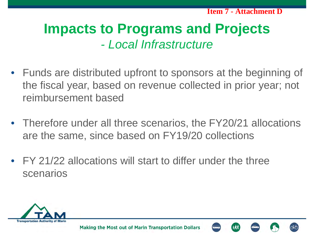## **Impacts to Programs and Projects** *- Local Infrastructure*

- Funds are distributed upfront to sponsors at the beginning of the fiscal year, based on revenue collected in prior year; not reimbursement based
- Therefore under all three scenarios, the FY20/21 allocations are the same, since based on FY19/20 collections
- FY 21/22 allocations will start to differ under the three scenarios

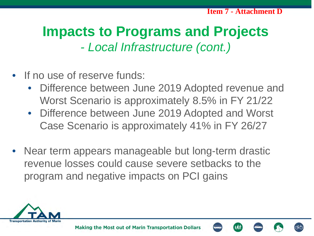## **Impacts to Programs and Projects** *- Local Infrastructure (cont.)*

- If no use of reserve funds:
	- Difference between June 2019 Adopted revenue and Worst Scenario is approximately 8.5% in FY 21/22
	- Difference between June 2019 Adopted and Worst Case Scenario is approximately 41% in FY 26/27
- Near term appears manageable but long-term drastic revenue losses could cause severe setbacks to the program and negative impacts on PCI gains



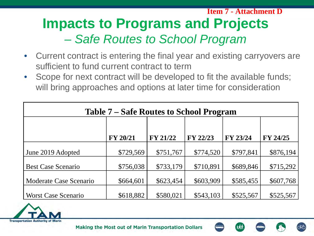### **Impacts to Programs and Projects**  *– Safe Routes to School Program* **Item 7 - Attachment D**

- Current contract is entering the final year and existing carryovers are sufficient to fund current contract to term
- Scope for next contract will be developed to fit the available funds; will bring approaches and options at later time for consideration

| <b>Table 7 – Safe Routes to School Program</b> |                 |                 |           |           |                 |  |  |  |
|------------------------------------------------|-----------------|-----------------|-----------|-----------|-----------------|--|--|--|
|                                                |                 |                 |           |           |                 |  |  |  |
|                                                | <b>FY 20/21</b> | <b>FY 21/22</b> | FY 22/23  | FY 23/24  | <b>FY 24/25</b> |  |  |  |
| June 2019 Adopted                              | \$729,569       | \$751,767       | \$774,520 | \$797,841 | \$876,194       |  |  |  |
| <b>Best Case Scenario</b>                      | \$756,038       | \$733,179       | \$710,891 | \$689,846 | \$715,292       |  |  |  |
| Moderate Case Scenario                         | \$664,601       | \$623,454       | \$603,909 | \$585,455 | \$607,768       |  |  |  |
| <b>Worst Case Scenario</b>                     | \$618,882       | \$580,021       | \$543,103 | \$525,567 | \$525,567       |  |  |  |

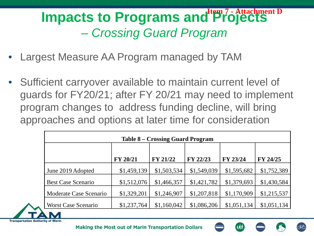#### **Impacts to Programs and Projects**  *– Crossing Guard Program* **Item 7 - Attachment D**

- Largest Measure AA Program managed by TAM
- Sufficient carryover available to maintain current level of guards for FY20/21; after FY 20/21 may need to implement program changes to address funding decline, will bring approaches and options at later time for consideration

| <b>Table 8 – Crossing Guard Program</b> |             |                 |             |             |             |  |  |  |
|-----------------------------------------|-------------|-----------------|-------------|-------------|-------------|--|--|--|
|                                         |             |                 |             |             |             |  |  |  |
|                                         | FY 20/21    | <b>FY 21/22</b> | FY 22/23    | FY 23/24    | FY 24/25    |  |  |  |
| June 2019 Adopted                       | \$1,459,139 | \$1,503,534     | \$1,549,039 | \$1,595,682 | \$1,752,389 |  |  |  |
| <b>Best Case Scenario</b>               | \$1,512,076 | \$1,466,357     | \$1,421,782 | \$1,379,693 | \$1,430,584 |  |  |  |
| Moderate Case Scenario                  | \$1,329,201 | \$1,246,907     | \$1,207,818 | \$1,170,909 | \$1,215,537 |  |  |  |
| <b>Worst Case Scenario</b>              | \$1,237,764 | \$1,160,042     | \$1,086,206 | \$1,051,134 | \$1,051,134 |  |  |  |

**Transportation Authority** 

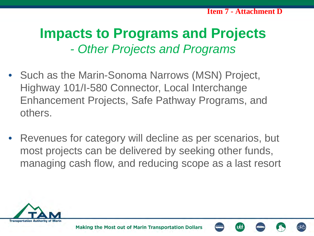### **Impacts to Programs and Projects** *- Other Projects and Programs*

- Such as the Marin-Sonoma Narrows (MSN) Project, Highway 101/I-580 Connector, Local Interchange Enhancement Projects, Safe Pathway Programs, and others.
- Revenues for category will decline as per scenarios, but most projects can be delivered by seeking other funds, managing cash flow, and reducing scope as a last resort

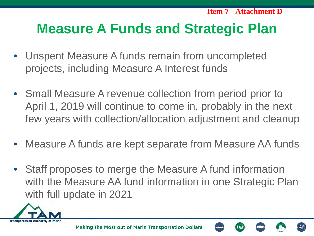**Item 7 - Attachment D**

### **Measure A Funds and Strategic Plan**

- Unspent Measure A funds remain from uncompleted projects, including Measure A Interest funds
- Small Measure A revenue collection from period prior to April 1, 2019 will continue to come in, probably in the next few years with collection/allocation adjustment and cleanup
- Measure A funds are kept separate from Measure AA funds
- Staff proposes to merge the Measure A fund information with the Measure AA fund information in one Strategic Plan with full update in 2021

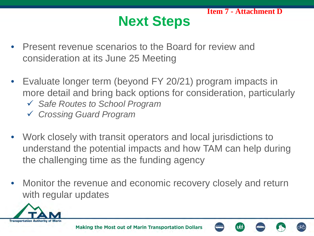# **Next Steps**

- Present revenue scenarios to the Board for review and consideration at its June 25 Meeting
- Evaluate longer term (beyond FY 20/21) program impacts in more detail and bring back options for consideration, particularly
	- *Safe Routes to School Program*
	- *Crossing Guard Program*
- Work closely with transit operators and local jurisdictions to understand the potential impacts and how TAM can help during the challenging time as the funding agency
- Monitor the revenue and economic recovery closely and return with regular updates